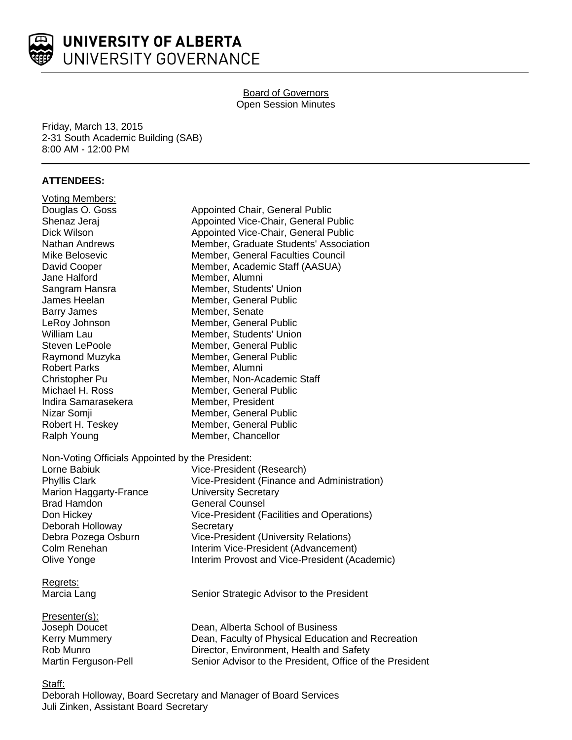

# Board of Governors Open Session Minutes

Friday, March 13, 2015 2-31 South Academic Building (SAB) 8:00 AM - 12:00 PM

# **ATTENDEES:**

| <b>Voting Members:</b>                           |                                                          |
|--------------------------------------------------|----------------------------------------------------------|
| Douglas O. Goss                                  | Appointed Chair, General Public                          |
| Shenaz Jeraj                                     | Appointed Vice-Chair, General Public                     |
| Dick Wilson                                      | Appointed Vice-Chair, General Public                     |
| <b>Nathan Andrews</b>                            | Member, Graduate Students' Association                   |
| Mike Belosevic                                   | Member, General Faculties Council                        |
| David Cooper                                     | Member, Academic Staff (AASUA)                           |
| Jane Halford                                     | Member, Alumni                                           |
| Sangram Hansra                                   | Member, Students' Union                                  |
| James Heelan                                     | Member, General Public                                   |
| <b>Barry James</b>                               | Member, Senate                                           |
| LeRoy Johnson                                    | Member, General Public                                   |
| William Lau                                      | Member, Students' Union                                  |
| <b>Steven LePoole</b>                            | Member, General Public                                   |
| Raymond Muzyka                                   | Member, General Public                                   |
| <b>Robert Parks</b>                              | Member, Alumni                                           |
| Christopher Pu                                   | Member, Non-Academic Staff                               |
| Michael H. Ross                                  | Member, General Public                                   |
| Indira Samarasekera                              | Member, President                                        |
| Nizar Somji                                      | Member, General Public                                   |
| Robert H. Teskey                                 | Member, General Public                                   |
| Ralph Young                                      | Member, Chancellor                                       |
| Non-Voting Officials Appointed by the President: |                                                          |
| Lorne Babiuk                                     | Vice-President (Research)                                |
| <b>Phyllis Clark</b>                             | Vice-President (Finance and Administration)              |
| <b>Marion Haggarty-France</b>                    | <b>University Secretary</b>                              |
| Brad Hamdon                                      | <b>General Counsel</b>                                   |
| Don Hickey                                       | Vice-President (Facilities and Operations)               |
| Deborah Holloway                                 | Secretary                                                |
| Debra Pozega Osburn                              | <b>Vice-President (University Relations)</b>             |
| Colm Renehan                                     | Interim Vice-President (Advancement)                     |
| Olive Yonge                                      | Interim Provost and Vice-President (Academic)            |
| Regrets:                                         |                                                          |
| Marcia Lang                                      | Senior Strategic Advisor to the President                |
| Presenter(s):                                    |                                                          |
| Joseph Doucet                                    | Dean, Alberta School of Business                         |
| <b>Kerry Mummery</b>                             | Dean, Faculty of Physical Education and Recreation       |
| Rob Munro                                        | Director, Environment, Health and Safety                 |
| Martin Ferguson-Pell                             | Senior Advisor to the President, Office of the President |
|                                                  |                                                          |

Staff:

Deborah Holloway, Board Secretary and Manager of Board Services Juli Zinken, Assistant Board Secretary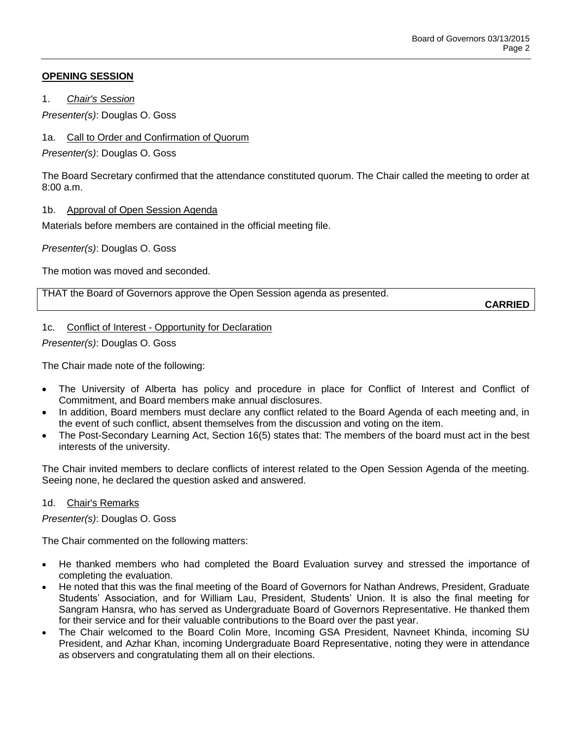### **OPENING SESSION**

1. *Chair's Session*

*Presenter(s)*: Douglas O. Goss

# 1a. Call to Order and Confirmation of Quorum

*Presenter(s)*: Douglas O. Goss

The Board Secretary confirmed that the attendance constituted quorum. The Chair called the meeting to order at 8:00 a.m.

# 1b. Approval of Open Session Agenda

Materials before members are contained in the official meeting file.

*Presenter(s)*: Douglas O. Goss

The motion was moved and seconded.

THAT the Board of Governors approve the Open Session agenda as presented.

**CARRIED**

# 1c. Conflict of Interest - Opportunity for Declaration

*Presenter(s)*: Douglas O. Goss

The Chair made note of the following:

- The University of Alberta has policy and procedure in place for Conflict of Interest and Conflict of Commitment, and Board members make annual disclosures.
- In addition, Board members must declare any conflict related to the Board Agenda of each meeting and, in the event of such conflict, absent themselves from the discussion and voting on the item.
- The Post-Secondary Learning Act, Section 16(5) states that: The members of the board must act in the best interests of the university.

The Chair invited members to declare conflicts of interest related to the Open Session Agenda of the meeting. Seeing none, he declared the question asked and answered.

#### 1d. Chair's Remarks

*Presenter(s)*: Douglas O. Goss

The Chair commented on the following matters:

- He thanked members who had completed the Board Evaluation survey and stressed the importance of completing the evaluation.
- He noted that this was the final meeting of the Board of Governors for Nathan Andrews, President, Graduate Students' Association, and for William Lau, President, Students' Union. It is also the final meeting for Sangram Hansra, who has served as Undergraduate Board of Governors Representative. He thanked them for their service and for their valuable contributions to the Board over the past year.
- The Chair welcomed to the Board Colin More, Incoming GSA President, Navneet Khinda, incoming SU President, and Azhar Khan, incoming Undergraduate Board Representative, noting they were in attendance as observers and congratulating them all on their elections.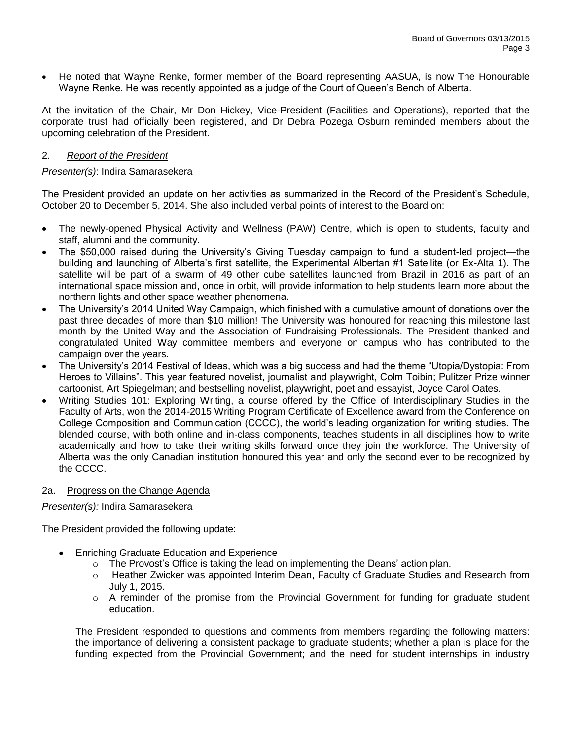He noted that Wayne Renke, former member of the Board representing AASUA, is now The Honourable Wayne Renke. He was recently appointed as a judge of the Court of Queen's Bench of Alberta.

At the invitation of the Chair, Mr Don Hickey, Vice-President (Facilities and Operations), reported that the corporate trust had officially been registered, and Dr Debra Pozega Osburn reminded members about the upcoming celebration of the President.

#### 2. *Report of the President*

#### *Presenter(s)*: Indira Samarasekera

The President provided an update on her activities as summarized in the Record of the President's Schedule, October 20 to December 5, 2014. She also included verbal points of interest to the Board on:

- The newly-opened Physical Activity and Wellness (PAW) Centre, which is open to students, faculty and staff, alumni and the community.
- The \$50,000 raised during the University's Giving Tuesday campaign to fund a student-led project—the building and launching of Alberta's first satellite, the Experimental Albertan #1 Satellite (or Ex-Alta 1). The satellite will be part of a swarm of 49 other cube satellites launched from Brazil in 2016 as part of an international space mission and, once in orbit, will provide information to help students learn more about the northern lights and other space weather phenomena.
- The University's 2014 United Way Campaign, which finished with a cumulative amount of donations over the past three decades of more than \$10 million! The University was honoured for reaching this milestone last month by the United Way and the Association of Fundraising Professionals. The President thanked and congratulated United Way committee members and everyone on campus who has contributed to the campaign over the years.
- The University's 2014 Festival of Ideas, which was a big success and had the theme "Utopia/Dystopia: From Heroes to Villains". This year featured novelist, journalist and playwright, Colm Toibin; Pulitzer Prize winner cartoonist, Art Spiegelman; and bestselling novelist, playwright, poet and essayist, Joyce Carol Oates.
- Writing Studies 101: Exploring Writing, a course offered by the Office of Interdisciplinary Studies in the Faculty of Arts, won the 2014-2015 Writing Program Certificate of Excellence award from the Conference on College Composition and Communication (CCCC), the world's leading organization for writing studies. The blended course, with both online and in-class components, teaches students in all disciplines how to write academically and how to take their writing skills forward once they join the workforce. The University of Alberta was the only Canadian institution honoured this year and only the second ever to be recognized by the CCCC.

#### 2a. Progress on the Change Agenda

*Presenter(s):* Indira Samarasekera

The President provided the following update:

- Enriching Graduate Education and Experience
	- $\circ$  The Provost's Office is taking the lead on implementing the Deans' action plan.
	- o Heather Zwicker was appointed Interim Dean, Faculty of Graduate Studies and Research from July 1, 2015.
	- $\circ$  A reminder of the promise from the Provincial Government for funding for graduate student education.

The President responded to questions and comments from members regarding the following matters: the importance of delivering a consistent package to graduate students; whether a plan is place for the funding expected from the Provincial Government; and the need for student internships in industry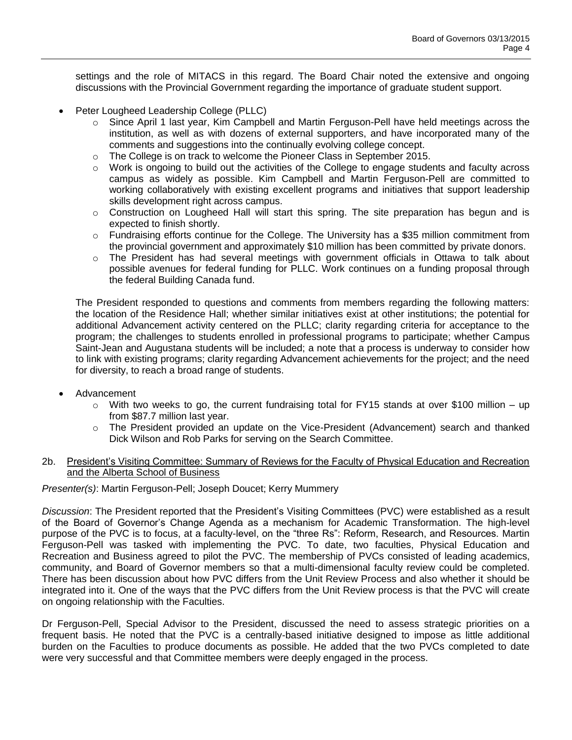settings and the role of MITACS in this regard. The Board Chair noted the extensive and ongoing discussions with the Provincial Government regarding the importance of graduate student support.

- Peter Lougheed Leadership College (PLLC)
	- $\circ$  Since April 1 last year, Kim Campbell and Martin Ferguson-Pell have held meetings across the institution, as well as with dozens of external supporters, and have incorporated many of the comments and suggestions into the continually evolving college concept.
	- $\circ$  The College is on track to welcome the Pioneer Class in September 2015.
	- $\circ$  Work is ongoing to build out the activities of the College to engage students and faculty across campus as widely as possible. Kim Campbell and Martin Ferguson-Pell are committed to working collaboratively with existing excellent programs and initiatives that support leadership skills development right across campus.
	- $\circ$  Construction on Lougheed Hall will start this spring. The site preparation has begun and is expected to finish shortly.
	- o Fundraising efforts continue for the College. The University has a \$35 million commitment from the provincial government and approximately \$10 million has been committed by private donors.
	- o The President has had several meetings with government officials in Ottawa to talk about possible avenues for federal funding for PLLC. Work continues on a funding proposal through the federal Building Canada fund.

The President responded to questions and comments from members regarding the following matters: the location of the Residence Hall; whether similar initiatives exist at other institutions; the potential for additional Advancement activity centered on the PLLC; clarity regarding criteria for acceptance to the program; the challenges to students enrolled in professional programs to participate; whether Campus Saint-Jean and Augustana students will be included; a note that a process is underway to consider how to link with existing programs; clarity regarding Advancement achievements for the project; and the need for diversity, to reach a broad range of students.

- Advancement
	- o With two weeks to go, the current fundraising total for FY15 stands at over \$100 million up from \$87.7 million last year.
	- $\circ$  The President provided an update on the Vice-President (Advancement) search and thanked Dick Wilson and Rob Parks for serving on the Search Committee.

#### 2b. President's Visiting Committee: Summary of Reviews for the Faculty of Physical Education and Recreation and the Alberta School of Business

#### *Presenter(s)*: Martin Ferguson-Pell; Joseph Doucet; Kerry Mummery

*Discussion*: The President reported that the President's Visiting Committees (PVC) were established as a result of the Board of Governor's Change Agenda as a mechanism for Academic Transformation. The high-level purpose of the PVC is to focus, at a faculty-level, on the "three Rs": Reform, Research, and Resources. Martin Ferguson-Pell was tasked with implementing the PVC. To date, two faculties, Physical Education and Recreation and Business agreed to pilot the PVC. The membership of PVCs consisted of leading academics, community, and Board of Governor members so that a multi-dimensional faculty review could be completed. There has been discussion about how PVC differs from the Unit Review Process and also whether it should be integrated into it. One of the ways that the PVC differs from the Unit Review process is that the PVC will create on ongoing relationship with the Faculties.

Dr Ferguson-Pell, Special Advisor to the President, discussed the need to assess strategic priorities on a frequent basis. He noted that the PVC is a centrally-based initiative designed to impose as little additional burden on the Faculties to produce documents as possible. He added that the two PVCs completed to date were very successful and that Committee members were deeply engaged in the process.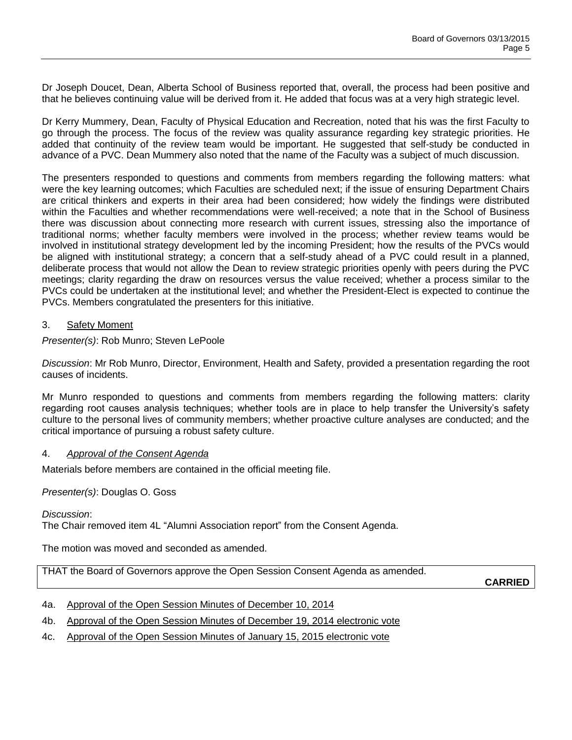Dr Joseph Doucet, Dean, Alberta School of Business reported that, overall, the process had been positive and that he believes continuing value will be derived from it. He added that focus was at a very high strategic level.

Dr Kerry Mummery, Dean, Faculty of Physical Education and Recreation, noted that his was the first Faculty to go through the process. The focus of the review was quality assurance regarding key strategic priorities. He added that continuity of the review team would be important. He suggested that self-study be conducted in advance of a PVC. Dean Mummery also noted that the name of the Faculty was a subject of much discussion.

The presenters responded to questions and comments from members regarding the following matters: what were the key learning outcomes; which Faculties are scheduled next; if the issue of ensuring Department Chairs are critical thinkers and experts in their area had been considered; how widely the findings were distributed within the Faculties and whether recommendations were well-received; a note that in the School of Business there was discussion about connecting more research with current issues, stressing also the importance of traditional norms; whether faculty members were involved in the process; whether review teams would be involved in institutional strategy development led by the incoming President; how the results of the PVCs would be aligned with institutional strategy; a concern that a self-study ahead of a PVC could result in a planned, deliberate process that would not allow the Dean to review strategic priorities openly with peers during the PVC meetings; clarity regarding the draw on resources versus the value received; whether a process similar to the PVCs could be undertaken at the institutional level; and whether the President-Elect is expected to continue the PVCs. Members congratulated the presenters for this initiative.

#### 3. Safety Moment

*Presenter(s)*: Rob Munro; Steven LePoole

*Discussion*: Mr Rob Munro, Director, Environment, Health and Safety, provided a presentation regarding the root causes of incidents.

Mr Munro responded to questions and comments from members regarding the following matters: clarity regarding root causes analysis techniques; whether tools are in place to help transfer the University's safety culture to the personal lives of community members; whether proactive culture analyses are conducted; and the critical importance of pursuing a robust safety culture.

#### 4. *Approval of the Consent Agenda*

Materials before members are contained in the official meeting file.

*Presenter(s)*: Douglas O. Goss

*Discussion*:

The Chair removed item 4L "Alumni Association report" from the Consent Agenda.

The motion was moved and seconded as amended.

THAT the Board of Governors approve the Open Session Consent Agenda as amended.

**CARRIED**

- 4a. Approval of the Open Session Minutes of December 10, 2014
- 4b. Approval of the Open Session Minutes of December 19, 2014 electronic vote
- 4c. Approval of the Open Session Minutes of January 15, 2015 electronic vote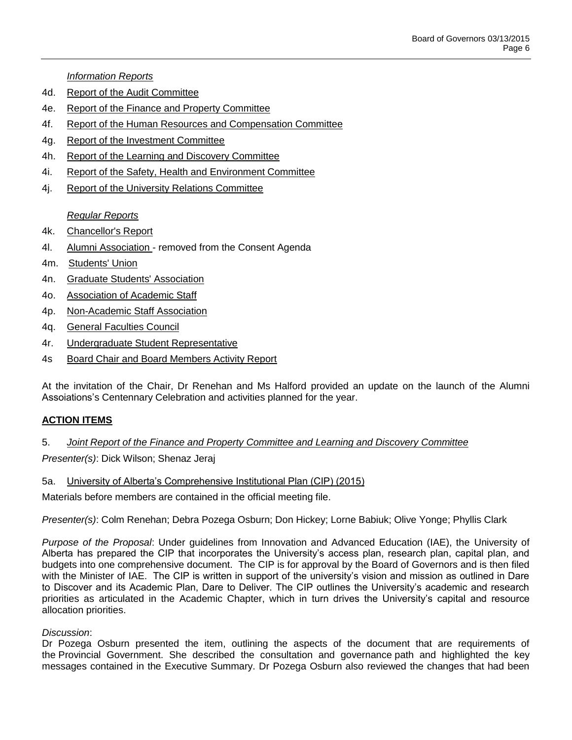*Information Reports*

- 4d. Report of the Audit Committee
- 4e. Report of the Finance and Property Committee
- 4f. Report of the Human Resources and Compensation Committee
- 4g. Report of the Investment Committee
- 4h. Report of the Learning and Discovery Committee
- 4i. Report of the Safety, Health and Environment Committee
- 4j. Report of the University Relations Committee

*Regular Reports*

- 4k. Chancellor's Report
- 4l. Alumni Association removed from the Consent Agenda
- 4m. Students' Union
- 4n. Graduate Students' Association
- 4o. Association of Academic Staff
- 4p. Non-Academic Staff Association
- 4q. General Faculties Council
- 4r. Undergraduate Student Representative
- 4s Board Chair and Board Members Activity Report

At the invitation of the Chair, Dr Renehan and Ms Halford provided an update on the launch of the Alumni Assoiations's Centennary Celebration and activities planned for the year.

#### **ACTION ITEMS**

#### 5. *Joint Report of the Finance and Property Committee and Learning and Discovery Committee*

*Presenter(s)*: Dick Wilson; Shenaz Jeraj

#### 5a. University of Alberta's Comprehensive Institutional Plan (CIP) (2015)

Materials before members are contained in the official meeting file.

*Presenter(s)*: Colm Renehan; Debra Pozega Osburn; Don Hickey; Lorne Babiuk; Olive Yonge; Phyllis Clark

*Purpose of the Proposal*: Under guidelines from Innovation and Advanced Education (IAE), the University of Alberta has prepared the CIP that incorporates the University's access plan, research plan, capital plan, and budgets into one comprehensive document. The CIP is for approval by the Board of Governors and is then filed with the Minister of IAE. The CIP is written in support of the university's vision and mission as outlined in Dare to Discover and its Academic Plan, Dare to Deliver. The CIP outlines the University's academic and research priorities as articulated in the Academic Chapter, which in turn drives the University's capital and resource allocation priorities.

#### *Discussion*:

Dr Pozega Osburn presented the item, outlining the aspects of the document that are requirements of the Provincial Government. She described the consultation and governance path and highlighted the key messages contained in the Executive Summary. Dr Pozega Osburn also reviewed the changes that had been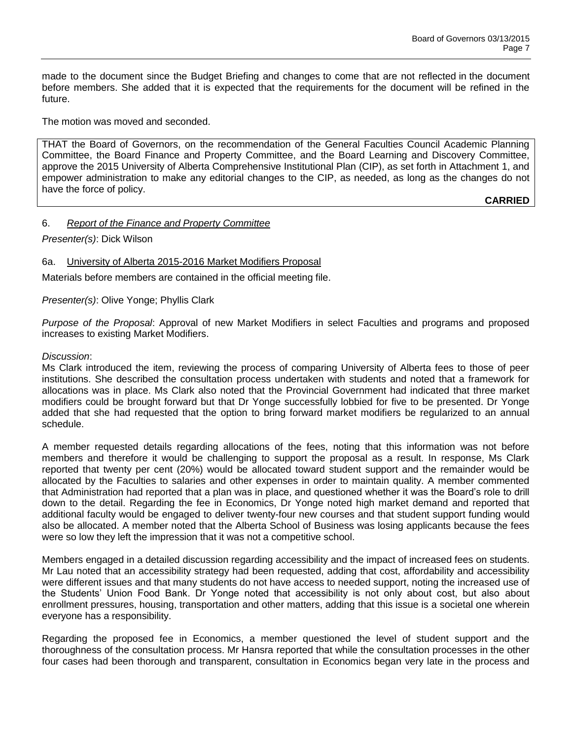made to the document since the Budget Briefing and changes to come that are not reflected in the document before members. She added that it is expected that the requirements for the document will be refined in the future.

The motion was moved and seconded.

THAT the Board of Governors, on the recommendation of the General Faculties Council Academic Planning Committee, the Board Finance and Property Committee, and the Board Learning and Discovery Committee, approve the 2015 University of Alberta Comprehensive Institutional Plan (CIP), as set forth in Attachment 1, and empower administration to make any editorial changes to the CIP, as needed, as long as the changes do not have the force of policy.

**CARRIED**

# 6. *Report of the Finance and Property Committee*

#### *Presenter(s)*: Dick Wilson

# 6a. University of Alberta 2015-2016 Market Modifiers Proposal

Materials before members are contained in the official meeting file.

#### *Presenter(s)*: Olive Yonge; Phyllis Clark

*Purpose of the Proposal*: Approval of new Market Modifiers in select Faculties and programs and proposed increases to existing Market Modifiers.

#### *Discussion*:

Ms Clark introduced the item, reviewing the process of comparing University of Alberta fees to those of peer institutions. She described the consultation process undertaken with students and noted that a framework for allocations was in place. Ms Clark also noted that the Provincial Government had indicated that three market modifiers could be brought forward but that Dr Yonge successfully lobbied for five to be presented. Dr Yonge added that she had requested that the option to bring forward market modifiers be regularized to an annual schedule.

A member requested details regarding allocations of the fees, noting that this information was not before members and therefore it would be challenging to support the proposal as a result. In response, Ms Clark reported that twenty per cent (20%) would be allocated toward student support and the remainder would be allocated by the Faculties to salaries and other expenses in order to maintain quality. A member commented that Administration had reported that a plan was in place, and questioned whether it was the Board's role to drill down to the detail. Regarding the fee in Economics, Dr Yonge noted high market demand and reported that additional faculty would be engaged to deliver twenty-four new courses and that student support funding would also be allocated. A member noted that the Alberta School of Business was losing applicants because the fees were so low they left the impression that it was not a competitive school.

Members engaged in a detailed discussion regarding accessibility and the impact of increased fees on students. Mr Lau noted that an accessibility strategy had been requested, adding that cost, affordability and accessibility were different issues and that many students do not have access to needed support, noting the increased use of the Students' Union Food Bank. Dr Yonge noted that accessibility is not only about cost, but also about enrollment pressures, housing, transportation and other matters, adding that this issue is a societal one wherein everyone has a responsibility.

Regarding the proposed fee in Economics, a member questioned the level of student support and the thoroughness of the consultation process. Mr Hansra reported that while the consultation processes in the other four cases had been thorough and transparent, consultation in Economics began very late in the process and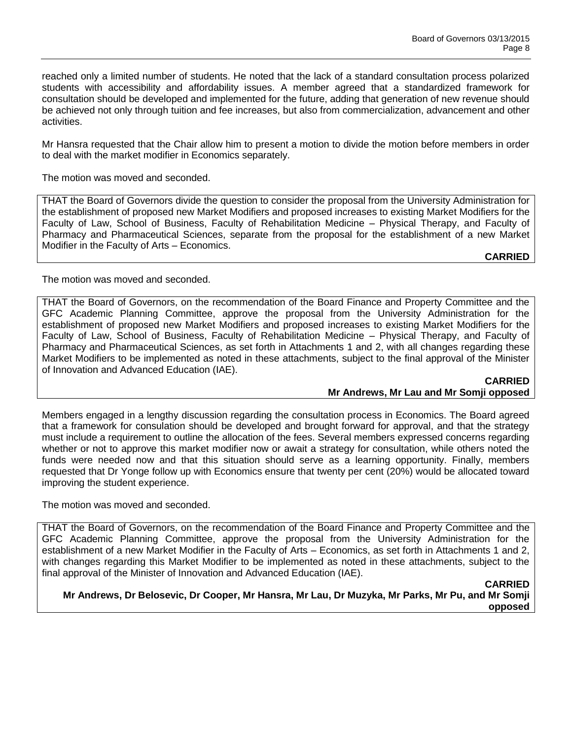reached only a limited number of students. He noted that the lack of a standard consultation process polarized students with accessibility and affordability issues. A member agreed that a standardized framework for consultation should be developed and implemented for the future, adding that generation of new revenue should be achieved not only through tuition and fee increases, but also from commercialization, advancement and other activities.

Mr Hansra requested that the Chair allow him to present a motion to divide the motion before members in order to deal with the market modifier in Economics separately.

The motion was moved and seconded.

THAT the Board of Governors divide the question to consider the proposal from the University Administration for the establishment of proposed new Market Modifiers and proposed increases to existing Market Modifiers for the Faculty of Law, School of Business, Faculty of Rehabilitation Medicine – Physical Therapy, and Faculty of Pharmacy and Pharmaceutical Sciences, separate from the proposal for the establishment of a new Market Modifier in the Faculty of Arts – Economics.

# **CARRIED**

The motion was moved and seconded.

THAT the Board of Governors, on the recommendation of the Board Finance and Property Committee and the GFC Academic Planning Committee, approve the proposal from the University Administration for the establishment of proposed new Market Modifiers and proposed increases to existing Market Modifiers for the Faculty of Law, School of Business, Faculty of Rehabilitation Medicine – Physical Therapy, and Faculty of Pharmacy and Pharmaceutical Sciences, as set forth in Attachments 1 and 2, with all changes regarding these Market Modifiers to be implemented as noted in these attachments, subject to the final approval of the Minister of Innovation and Advanced Education (IAE).

**CARRIED Mr Andrews, Mr Lau and Mr Somji opposed**

Members engaged in a lengthy discussion regarding the consultation process in Economics. The Board agreed that a framework for consulation should be developed and brought forward for approval, and that the strategy must include a requirement to outline the allocation of the fees. Several members expressed concerns regarding whether or not to approve this market modifier now or await a strategy for consultation, while others noted the funds were needed now and that this situation should serve as a learning opportunity. Finally, members requested that Dr Yonge follow up with Economics ensure that twenty per cent (20%) would be allocated toward improving the student experience.

The motion was moved and seconded.

THAT the Board of Governors, on the recommendation of the Board Finance and Property Committee and the GFC Academic Planning Committee, approve the proposal from the University Administration for the establishment of a new Market Modifier in the Faculty of Arts – Economics, as set forth in Attachments 1 and 2, with changes regarding this Market Modifier to be implemented as noted in these attachments, subject to the final approval of the Minister of Innovation and Advanced Education (IAE).

#### **CARRIED**

**Mr Andrews, Dr Belosevic, Dr Cooper, Mr Hansra, Mr Lau, Dr Muzyka, Mr Parks, Mr Pu, and Mr Somji opposed**